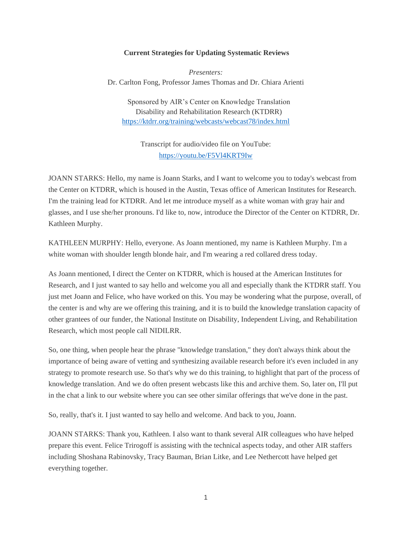## **Current Strategies for Updating Systematic Reviews**

*Presenters:* Dr. Carlton Fong, Professor James Thomas and Dr. Chiara Arienti

Sponsored by AIR's Center on Knowledge Translation Disability and Rehabilitation Research (KTDRR) <https://ktdrr.org/training/webcasts/webcast78/index.html>

> Transcript for audio/video file on YouTube: <https://youtu.be/F5Vl4KRT9Iw>

JOANN STARKS: Hello, my name is Joann Starks, and I want to welcome you to today's webcast from the Center on KTDRR, which is housed in the Austin, Texas office of American Institutes for Research. I'm the training lead for KTDRR. And let me introduce myself as a white woman with gray hair and glasses, and I use she/her pronouns. I'd like to, now, introduce the Director of the Center on KTDRR, Dr. Kathleen Murphy.

KATHLEEN MURPHY: Hello, everyone. As Joann mentioned, my name is Kathleen Murphy. I'm a white woman with shoulder length blonde hair, and I'm wearing a red collared dress today.

As Joann mentioned, I direct the Center on KTDRR, which is housed at the American Institutes for Research, and I just wanted to say hello and welcome you all and especially thank the KTDRR staff. You just met Joann and Felice, who have worked on this. You may be wondering what the purpose, overall, of the center is and why are we offering this training, and it is to build the knowledge translation capacity of other grantees of our funder, the National Institute on Disability, Independent Living, and Rehabilitation Research, which most people call NIDILRR.

So, one thing, when people hear the phrase "knowledge translation," they don't always think about the importance of being aware of vetting and synthesizing available research before it's even included in any strategy to promote research use. So that's why we do this training, to highlight that part of the process of knowledge translation. And we do often present webcasts like this and archive them. So, later on, I'll put in the chat a link to our website where you can see other similar offerings that we've done in the past.

So, really, that's it. I just wanted to say hello and welcome. And back to you, Joann.

JOANN STARKS: Thank you, Kathleen. I also want to thank several AIR colleagues who have helped prepare this event. Felice Trirogoff is assisting with the technical aspects today, and other AIR staffers including Shoshana Rabinovsky, Tracy Bauman, Brian Litke, and Lee Nethercott have helped get everything together.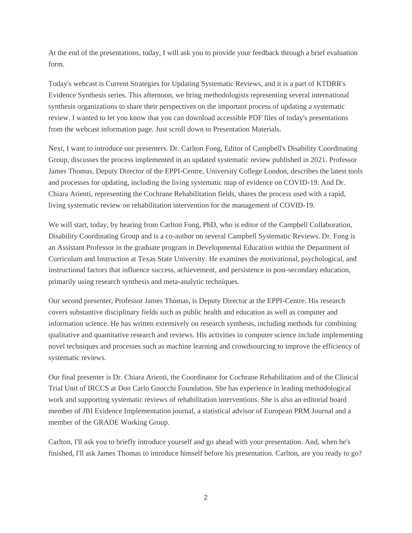At the end of the presentations, today, I will ask you to provide your feedback through a brief evaluation form.

Today's webcast is Current Strategies for Updating Systematic Reviews, and it is a part of KTDRR's Evidence Synthesis series. This afternoon, we bring methodologists representing several international synthesis organizations to share their perspectives on the important process of updating a systematic review. I wanted to let you know that you can download accessible PDF files of today's presentations from the webcast information page. Just scroll down to Presentation Materials.

Next, I want to introduce our presenters. Dr. Carlton Fong, Editor of Campbell's Disability Coordinating Group, discusses the process implemented in an updated systematic review published in 2021. Professor James Thomas, Deputy Director of the EPPI-Centre, University College London, describes the latest tools and processes for updating, including the living systematic map of evidence on COVID-19. And Dr. Chiara Arienti, representing the Cochrane Rehabilitation fields, shares the process used with a rapid, living systematic review on rehabilitation intervention for the management of COVID-19.

We will start, today, by hearing from Carlton Fong, PhD, who is editor of the Campbell Collaboration, Disability Coordinating Group and is a co-author on several Campbell Systematic Reviews. Dr. Fong is an Assistant Professor in the graduate program in Developmental Education within the Department of Curriculum and Instruction at Texas State University. He examines the motivational, psychological, and instructional factors that influence success, achievement, and persistence in post-secondary education, primarily using research synthesis and meta-analytic techniques.

Our second presenter, Professor James Thomas, is Deputy Director at the EPPI-Centre. His research covers substantive disciplinary fields such as public health and education as well as computer and information science. He has written extensively on research synthesis, including methods for combining qualitative and quantitative research and reviews. His activities in computer science include implementing novel techniques and processes such as machine learning and crowdsourcing to improve the efficiency of systematic reviews.

Our final presenter is Dr. Chiara Arienti, the Coordinator for Cochrane Rehabilitation and of the Clinical Trial Unit of IRCCS at Don Carlo Gnocchi Foundation. She has experience in leading methodological work and supporting systematic reviews of rehabilitation interventions. She is also an editorial board member of JBI Evidence Implementation journal, a statistical advisor of European PRM Journal and a member of the GRADE Working Group.

Carlton, I'll ask you to briefly introduce yourself and go ahead with your presentation. And, when he's finished, I'll ask James Thomas to introduce himself before his presentation. Carlton, are you ready to go?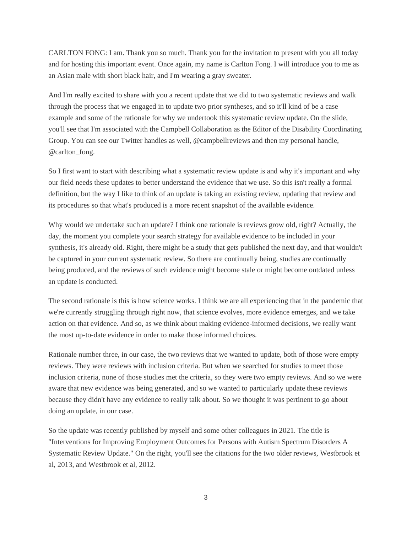CARLTON FONG: I am. Thank you so much. Thank you for the invitation to present with you all today and for hosting this important event. Once again, my name is Carlton Fong. I will introduce you to me as an Asian male with short black hair, and I'm wearing a gray sweater.

And I'm really excited to share with you a recent update that we did to two systematic reviews and walk through the process that we engaged in to update two prior syntheses, and so it'll kind of be a case example and some of the rationale for why we undertook this systematic review update. On the slide, you'll see that I'm associated with the Campbell Collaboration as the Editor of the Disability Coordinating Group. You can see our Twitter handles as well, @campbellreviews and then my personal handle, @carlton\_fong.

So I first want to start with describing what a systematic review update is and why it's important and why our field needs these updates to better understand the evidence that we use. So this isn't really a formal definition, but the way I like to think of an update is taking an existing review, updating that review and its procedures so that what's produced is a more recent snapshot of the available evidence.

Why would we undertake such an update? I think one rationale is reviews grow old, right? Actually, the day, the moment you complete your search strategy for available evidence to be included in your synthesis, it's already old. Right, there might be a study that gets published the next day, and that wouldn't be captured in your current systematic review. So there are continually being, studies are continually being produced, and the reviews of such evidence might become stale or might become outdated unless an update is conducted.

The second rationale is this is how science works. I think we are all experiencing that in the pandemic that we're currently struggling through right now, that science evolves, more evidence emerges, and we take action on that evidence. And so, as we think about making evidence-informed decisions, we really want the most up-to-date evidence in order to make those informed choices.

Rationale number three, in our case, the two reviews that we wanted to update, both of those were empty reviews. They were reviews with inclusion criteria. But when we searched for studies to meet those inclusion criteria, none of those studies met the criteria, so they were two empty reviews. And so we were aware that new evidence was being generated, and so we wanted to particularly update these reviews because they didn't have any evidence to really talk about. So we thought it was pertinent to go about doing an update, in our case.

So the update was recently published by myself and some other colleagues in 2021. The title is "Interventions for Improving Employment Outcomes for Persons with Autism Spectrum Disorders A Systematic Review Update." On the right, you'll see the citations for the two older reviews, Westbrook et al, 2013, and Westbrook et al, 2012.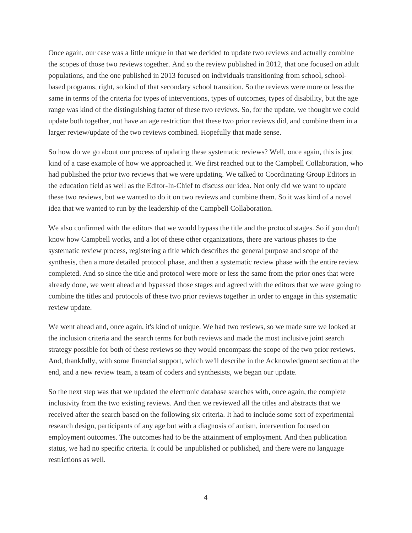Once again, our case was a little unique in that we decided to update two reviews and actually combine the scopes of those two reviews together. And so the review published in 2012, that one focused on adult populations, and the one published in 2013 focused on individuals transitioning from school, schoolbased programs, right, so kind of that secondary school transition. So the reviews were more or less the same in terms of the criteria for types of interventions, types of outcomes, types of disability, but the age range was kind of the distinguishing factor of these two reviews. So, for the update, we thought we could update both together, not have an age restriction that these two prior reviews did, and combine them in a larger review/update of the two reviews combined. Hopefully that made sense.

So how do we go about our process of updating these systematic reviews? Well, once again, this is just kind of a case example of how we approached it. We first reached out to the Campbell Collaboration, who had published the prior two reviews that we were updating. We talked to Coordinating Group Editors in the education field as well as the Editor-In-Chief to discuss our idea. Not only did we want to update these two reviews, but we wanted to do it on two reviews and combine them. So it was kind of a novel idea that we wanted to run by the leadership of the Campbell Collaboration.

We also confirmed with the editors that we would bypass the title and the protocol stages. So if you don't know how Campbell works, and a lot of these other organizations, there are various phases to the systematic review process, registering a title which describes the general purpose and scope of the synthesis, then a more detailed protocol phase, and then a systematic review phase with the entire review completed. And so since the title and protocol were more or less the same from the prior ones that were already done, we went ahead and bypassed those stages and agreed with the editors that we were going to combine the titles and protocols of these two prior reviews together in order to engage in this systematic review update.

We went ahead and, once again, it's kind of unique. We had two reviews, so we made sure we looked at the inclusion criteria and the search terms for both reviews and made the most inclusive joint search strategy possible for both of these reviews so they would encompass the scope of the two prior reviews. And, thankfully, with some financial support, which we'll describe in the Acknowledgment section at the end, and a new review team, a team of coders and synthesists, we began our update.

So the next step was that we updated the electronic database searches with, once again, the complete inclusivity from the two existing reviews. And then we reviewed all the titles and abstracts that we received after the search based on the following six criteria. It had to include some sort of experimental research design, participants of any age but with a diagnosis of autism, intervention focused on employment outcomes. The outcomes had to be the attainment of employment. And then publication status, we had no specific criteria. It could be unpublished or published, and there were no language restrictions as well.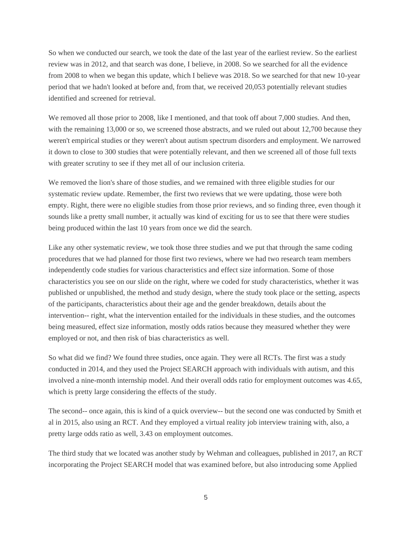So when we conducted our search, we took the date of the last year of the earliest review. So the earliest review was in 2012, and that search was done, I believe, in 2008. So we searched for all the evidence from 2008 to when we began this update, which I believe was 2018. So we searched for that new 10-year period that we hadn't looked at before and, from that, we received 20,053 potentially relevant studies identified and screened for retrieval.

We removed all those prior to 2008, like I mentioned, and that took off about 7,000 studies. And then, with the remaining 13,000 or so, we screened those abstracts, and we ruled out about 12,700 because they weren't empirical studies or they weren't about autism spectrum disorders and employment. We narrowed it down to close to 300 studies that were potentially relevant, and then we screened all of those full texts with greater scrutiny to see if they met all of our inclusion criteria.

We removed the lion's share of those studies, and we remained with three eligible studies for our systematic review update. Remember, the first two reviews that we were updating, those were both empty. Right, there were no eligible studies from those prior reviews, and so finding three, even though it sounds like a pretty small number, it actually was kind of exciting for us to see that there were studies being produced within the last 10 years from once we did the search.

Like any other systematic review, we took those three studies and we put that through the same coding procedures that we had planned for those first two reviews, where we had two research team members independently code studies for various characteristics and effect size information. Some of those characteristics you see on our slide on the right, where we coded for study characteristics, whether it was published or unpublished, the method and study design, where the study took place or the setting, aspects of the participants, characteristics about their age and the gender breakdown, details about the intervention-- right, what the intervention entailed for the individuals in these studies, and the outcomes being measured, effect size information, mostly odds ratios because they measured whether they were employed or not, and then risk of bias characteristics as well.

So what did we find? We found three studies, once again. They were all RCTs. The first was a study conducted in 2014, and they used the Project SEARCH approach with individuals with autism, and this involved a nine-month internship model. And their overall odds ratio for employment outcomes was 4.65, which is pretty large considering the effects of the study.

The second-- once again, this is kind of a quick overview-- but the second one was conducted by Smith et al in 2015, also using an RCT. And they employed a virtual reality job interview training with, also, a pretty large odds ratio as well, 3.43 on employment outcomes.

The third study that we located was another study by Wehman and colleagues, published in 2017, an RCT incorporating the Project SEARCH model that was examined before, but also introducing some Applied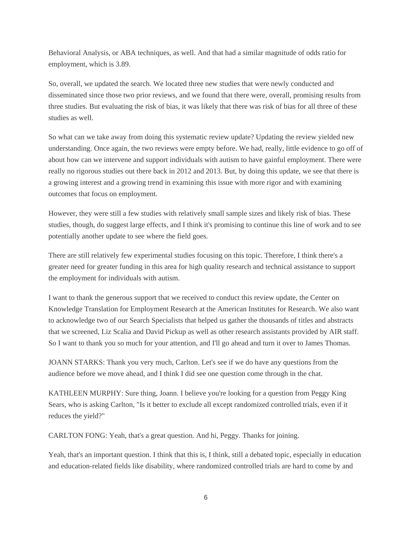Behavioral Analysis, or ABA techniques, as well. And that had a similar magnitude of odds ratio for employment, which is 3.89.

So, overall, we updated the search. We located three new studies that were newly conducted and disseminated since those two prior reviews, and we found that there were, overall, promising results from three studies. But evaluating the risk of bias, it was likely that there was risk of bias for all three of these studies as well.

So what can we take away from doing this systematic review update? Updating the review yielded new understanding. Once again, the two reviews were empty before. We had, really, little evidence to go off of about how can we intervene and support individuals with autism to have gainful employment. There were really no rigorous studies out there back in 2012 and 2013. But, by doing this update, we see that there is a growing interest and a growing trend in examining this issue with more rigor and with examining outcomes that focus on employment.

However, they were still a few studies with relatively small sample sizes and likely risk of bias. These studies, though, do suggest large effects, and I think it's promising to continue this line of work and to see potentially another update to see where the field goes.

There are still relatively few experimental studies focusing on this topic. Therefore, I think there's a greater need for greater funding in this area for high quality research and technical assistance to support the employment for individuals with autism.

I want to thank the generous support that we received to conduct this review update, the Center on Knowledge Translation for Employment Research at the American Institutes for Research. We also want to acknowledge two of our Search Specialists that helped us gather the thousands of titles and abstracts that we screened, Liz Scalia and David Pickup as well as other research assistants provided by AIR staff. So I want to thank you so much for your attention, and I'll go ahead and turn it over to James Thomas.

JOANN STARKS: Thank you very much, Carlton. Let's see if we do have any questions from the audience before we move ahead, and I think I did see one question come through in the chat.

KATHLEEN MURPHY: Sure thing, Joann. I believe you're looking for a question from Peggy King Sears, who is asking Carlton, "Is it better to exclude all except randomized controlled trials, even if it reduces the yield?"

CARLTON FONG: Yeah, that's a great question. And hi, Peggy. Thanks for joining.

Yeah, that's an important question. I think that this is, I think, still a debated topic, especially in education and education-related fields like disability, where randomized controlled trials are hard to come by and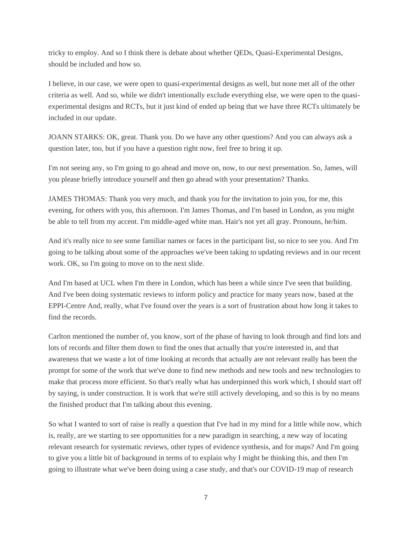tricky to employ. And so I think there is debate about whether QEDs, Quasi-Experimental Designs, should be included and how so.

I believe, in our case, we were open to quasi-experimental designs as well, but none met all of the other criteria as well. And so, while we didn't intentionally exclude everything else, we were open to the quasiexperimental designs and RCTs, but it just kind of ended up being that we have three RCTs ultimately be included in our update.

JOANN STARKS: OK, great. Thank you. Do we have any other questions? And you can always ask a question later, too, but if you have a question right now, feel free to bring it up.

I'm not seeing any, so I'm going to go ahead and move on, now, to our next presentation. So, James, will you please briefly introduce yourself and then go ahead with your presentation? Thanks.

JAMES THOMAS: Thank you very much, and thank you for the invitation to join you, for me, this evening, for others with you, this afternoon. I'm James Thomas, and I'm based in London, as you might be able to tell from my accent. I'm middle-aged white man. Hair's not yet all gray. Pronouns, he/him.

And it's really nice to see some familiar names or faces in the participant list, so nice to see you. And I'm going to be talking about some of the approaches we've been taking to updating reviews and in our recent work. OK, so I'm going to move on to the next slide.

And I'm based at UCL when I'm there in London, which has been a while since I've seen that building. And I've been doing systematic reviews to inform policy and practice for many years now, based at the EPPI-Centre And, really, what I've found over the years is a sort of frustration about how long it takes to find the records.

Carlton mentioned the number of, you know, sort of the phase of having to look through and find lots and lots of records and filter them down to find the ones that actually that you're interested in, and that awareness that we waste a lot of time looking at records that actually are not relevant really has been the prompt for some of the work that we've done to find new methods and new tools and new technologies to make that process more efficient. So that's really what has underpinned this work which, I should start off by saying, is under construction. It is work that we're still actively developing, and so this is by no means the finished product that I'm talking about this evening.

So what I wanted to sort of raise is really a question that I've had in my mind for a little while now, which is, really, are we starting to see opportunities for a new paradigm in searching, a new way of locating relevant research for systematic reviews, other types of evidence synthesis, and for maps? And I'm going to give you a little bit of background in terms of to explain why I might be thinking this, and then I'm going to illustrate what we've been doing using a case study, and that's our COVID-19 map of research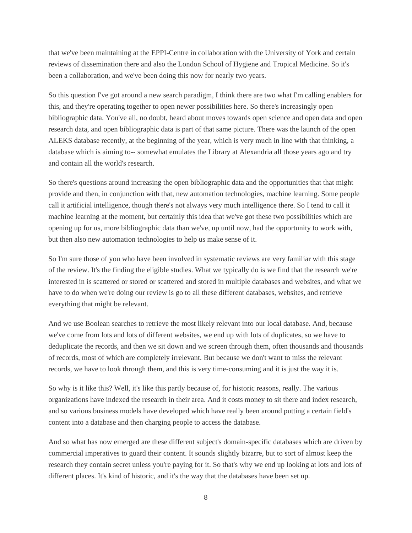that we've been maintaining at the EPPI-Centre in collaboration with the University of York and certain reviews of dissemination there and also the London School of Hygiene and Tropical Medicine. So it's been a collaboration, and we've been doing this now for nearly two years.

So this question I've got around a new search paradigm, I think there are two what I'm calling enablers for this, and they're operating together to open newer possibilities here. So there's increasingly open bibliographic data. You've all, no doubt, heard about moves towards open science and open data and open research data, and open bibliographic data is part of that same picture. There was the launch of the open ALEKS database recently, at the beginning of the year, which is very much in line with that thinking, a database which is aiming to-- somewhat emulates the Library at Alexandria all those years ago and try and contain all the world's research.

So there's questions around increasing the open bibliographic data and the opportunities that that might provide and then, in conjunction with that, new automation technologies, machine learning. Some people call it artificial intelligence, though there's not always very much intelligence there. So I tend to call it machine learning at the moment, but certainly this idea that we've got these two possibilities which are opening up for us, more bibliographic data than we've, up until now, had the opportunity to work with, but then also new automation technologies to help us make sense of it.

So I'm sure those of you who have been involved in systematic reviews are very familiar with this stage of the review. It's the finding the eligible studies. What we typically do is we find that the research we're interested in is scattered or stored or scattered and stored in multiple databases and websites, and what we have to do when we're doing our review is go to all these different databases, websites, and retrieve everything that might be relevant.

And we use Boolean searches to retrieve the most likely relevant into our local database. And, because we've come from lots and lots of different websites, we end up with lots of duplicates, so we have to deduplicate the records, and then we sit down and we screen through them, often thousands and thousands of records, most of which are completely irrelevant. But because we don't want to miss the relevant records, we have to look through them, and this is very time-consuming and it is just the way it is.

So why is it like this? Well, it's like this partly because of, for historic reasons, really. The various organizations have indexed the research in their area. And it costs money to sit there and index research, and so various business models have developed which have really been around putting a certain field's content into a database and then charging people to access the database.

And so what has now emerged are these different subject's domain-specific databases which are driven by commercial imperatives to guard their content. It sounds slightly bizarre, but to sort of almost keep the research they contain secret unless you're paying for it. So that's why we end up looking at lots and lots of different places. It's kind of historic, and it's the way that the databases have been set up.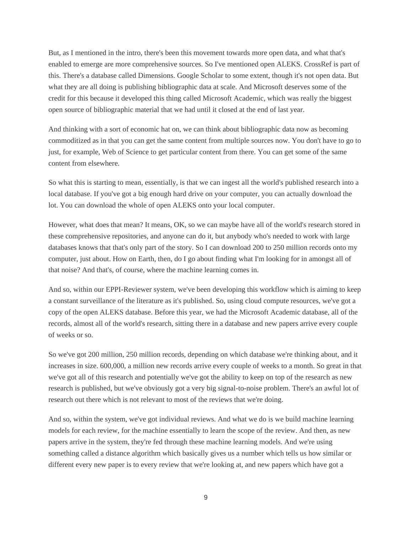But, as I mentioned in the intro, there's been this movement towards more open data, and what that's enabled to emerge are more comprehensive sources. So I've mentioned open ALEKS. CrossRef is part of this. There's a database called Dimensions. Google Scholar to some extent, though it's not open data. But what they are all doing is publishing bibliographic data at scale. And Microsoft deserves some of the credit for this because it developed this thing called Microsoft Academic, which was really the biggest open source of bibliographic material that we had until it closed at the end of last year.

And thinking with a sort of economic hat on, we can think about bibliographic data now as becoming commoditized as in that you can get the same content from multiple sources now. You don't have to go to just, for example, Web of Science to get particular content from there. You can get some of the same content from elsewhere.

So what this is starting to mean, essentially, is that we can ingest all the world's published research into a local database. If you've got a big enough hard drive on your computer, you can actually download the lot. You can download the whole of open ALEKS onto your local computer.

However, what does that mean? It means, OK, so we can maybe have all of the world's research stored in these comprehensive repositories, and anyone can do it, but anybody who's needed to work with large databases knows that that's only part of the story. So I can download 200 to 250 million records onto my computer, just about. How on Earth, then, do I go about finding what I'm looking for in amongst all of that noise? And that's, of course, where the machine learning comes in.

And so, within our EPPI-Reviewer system, we've been developing this workflow which is aiming to keep a constant surveillance of the literature as it's published. So, using cloud compute resources, we've got a copy of the open ALEKS database. Before this year, we had the Microsoft Academic database, all of the records, almost all of the world's research, sitting there in a database and new papers arrive every couple of weeks or so.

So we've got 200 million, 250 million records, depending on which database we're thinking about, and it increases in size. 600,000, a million new records arrive every couple of weeks to a month. So great in that we've got all of this research and potentially we've got the ability to keep on top of the research as new research is published, but we've obviously got a very big signal-to-noise problem. There's an awful lot of research out there which is not relevant to most of the reviews that we're doing.

And so, within the system, we've got individual reviews. And what we do is we build machine learning models for each review, for the machine essentially to learn the scope of the review. And then, as new papers arrive in the system, they're fed through these machine learning models. And we're using something called a distance algorithm which basically gives us a number which tells us how similar or different every new paper is to every review that we're looking at, and new papers which have got a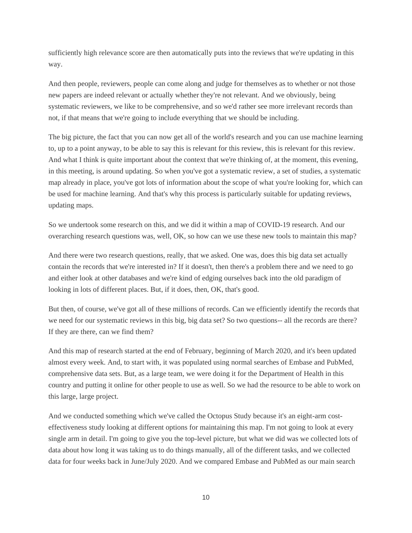sufficiently high relevance score are then automatically puts into the reviews that we're updating in this way.

And then people, reviewers, people can come along and judge for themselves as to whether or not those new papers are indeed relevant or actually whether they're not relevant. And we obviously, being systematic reviewers, we like to be comprehensive, and so we'd rather see more irrelevant records than not, if that means that we're going to include everything that we should be including.

The big picture, the fact that you can now get all of the world's research and you can use machine learning to, up to a point anyway, to be able to say this is relevant for this review, this is relevant for this review. And what I think is quite important about the context that we're thinking of, at the moment, this evening, in this meeting, is around updating. So when you've got a systematic review, a set of studies, a systematic map already in place, you've got lots of information about the scope of what you're looking for, which can be used for machine learning. And that's why this process is particularly suitable for updating reviews, updating maps.

So we undertook some research on this, and we did it within a map of COVID-19 research. And our overarching research questions was, well, OK, so how can we use these new tools to maintain this map?

And there were two research questions, really, that we asked. One was, does this big data set actually contain the records that we're interested in? If it doesn't, then there's a problem there and we need to go and either look at other databases and we're kind of edging ourselves back into the old paradigm of looking in lots of different places. But, if it does, then, OK, that's good.

But then, of course, we've got all of these millions of records. Can we efficiently identify the records that we need for our systematic reviews in this big, big data set? So two questions-- all the records are there? If they are there, can we find them?

And this map of research started at the end of February, beginning of March 2020, and it's been updated almost every week. And, to start with, it was populated using normal searches of Embase and PubMed, comprehensive data sets. But, as a large team, we were doing it for the Department of Health in this country and putting it online for other people to use as well. So we had the resource to be able to work on this large, large project.

And we conducted something which we've called the Octopus Study because it's an eight-arm costeffectiveness study looking at different options for maintaining this map. I'm not going to look at every single arm in detail. I'm going to give you the top-level picture, but what we did was we collected lots of data about how long it was taking us to do things manually, all of the different tasks, and we collected data for four weeks back in June/July 2020. And we compared Embase and PubMed as our main search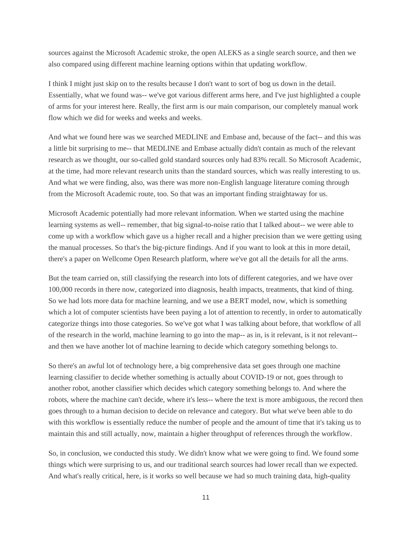sources against the Microsoft Academic stroke, the open ALEKS as a single search source, and then we also compared using different machine learning options within that updating workflow.

I think I might just skip on to the results because I don't want to sort of bog us down in the detail. Essentially, what we found was-- we've got various different arms here, and I've just highlighted a couple of arms for your interest here. Really, the first arm is our main comparison, our completely manual work flow which we did for weeks and weeks and weeks.

And what we found here was we searched MEDLINE and Embase and, because of the fact-- and this was a little bit surprising to me-- that MEDLINE and Embase actually didn't contain as much of the relevant research as we thought, our so-called gold standard sources only had 83% recall. So Microsoft Academic, at the time, had more relevant research units than the standard sources, which was really interesting to us. And what we were finding, also, was there was more non-English language literature coming through from the Microsoft Academic route, too. So that was an important finding straightaway for us.

Microsoft Academic potentially had more relevant information. When we started using the machine learning systems as well-- remember, that big signal-to-noise ratio that I talked about-- we were able to come up with a workflow which gave us a higher recall and a higher precision than we were getting using the manual processes. So that's the big-picture findings. And if you want to look at this in more detail, there's a paper on Wellcome Open Research platform, where we've got all the details for all the arms.

But the team carried on, still classifying the research into lots of different categories, and we have over 100,000 records in there now, categorized into diagnosis, health impacts, treatments, that kind of thing. So we had lots more data for machine learning, and we use a BERT model, now, which is something which a lot of computer scientists have been paying a lot of attention to recently, in order to automatically categorize things into those categories. So we've got what I was talking about before, that workflow of all of the research in the world, machine learning to go into the map-- as in, is it relevant, is it not relevant- and then we have another lot of machine learning to decide which category something belongs to.

So there's an awful lot of technology here, a big comprehensive data set goes through one machine learning classifier to decide whether something is actually about COVID-19 or not, goes through to another robot, another classifier which decides which category something belongs to. And where the robots, where the machine can't decide, where it's less-- where the text is more ambiguous, the record then goes through to a human decision to decide on relevance and category. But what we've been able to do with this workflow is essentially reduce the number of people and the amount of time that it's taking us to maintain this and still actually, now, maintain a higher throughput of references through the workflow.

So, in conclusion, we conducted this study. We didn't know what we were going to find. We found some things which were surprising to us, and our traditional search sources had lower recall than we expected. And what's really critical, here, is it works so well because we had so much training data, high-quality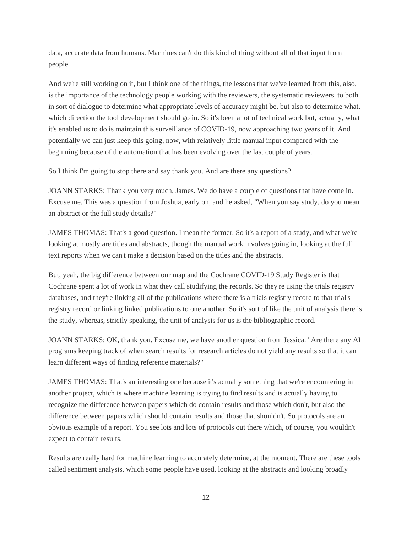data, accurate data from humans. Machines can't do this kind of thing without all of that input from people.

And we're still working on it, but I think one of the things, the lessons that we've learned from this, also, is the importance of the technology people working with the reviewers, the systematic reviewers, to both in sort of dialogue to determine what appropriate levels of accuracy might be, but also to determine what, which direction the tool development should go in. So it's been a lot of technical work but, actually, what it's enabled us to do is maintain this surveillance of COVID-19, now approaching two years of it. And potentially we can just keep this going, now, with relatively little manual input compared with the beginning because of the automation that has been evolving over the last couple of years.

So I think I'm going to stop there and say thank you. And are there any questions?

JOANN STARKS: Thank you very much, James. We do have a couple of questions that have come in. Excuse me. This was a question from Joshua, early on, and he asked, "When you say study, do you mean an abstract or the full study details?"

JAMES THOMAS: That's a good question. I mean the former. So it's a report of a study, and what we're looking at mostly are titles and abstracts, though the manual work involves going in, looking at the full text reports when we can't make a decision based on the titles and the abstracts.

But, yeah, the big difference between our map and the Cochrane COVID-19 Study Register is that Cochrane spent a lot of work in what they call studifying the records. So they're using the trials registry databases, and they're linking all of the publications where there is a trials registry record to that trial's registry record or linking linked publications to one another. So it's sort of like the unit of analysis there is the study, whereas, strictly speaking, the unit of analysis for us is the bibliographic record.

JOANN STARKS: OK, thank you. Excuse me, we have another question from Jessica. "Are there any AI programs keeping track of when search results for research articles do not yield any results so that it can learn different ways of finding reference materials?"

JAMES THOMAS: That's an interesting one because it's actually something that we're encountering in another project, which is where machine learning is trying to find results and is actually having to recognize the difference between papers which do contain results and those which don't, but also the difference between papers which should contain results and those that shouldn't. So protocols are an obvious example of a report. You see lots and lots of protocols out there which, of course, you wouldn't expect to contain results.

Results are really hard for machine learning to accurately determine, at the moment. There are these tools called sentiment analysis, which some people have used, looking at the abstracts and looking broadly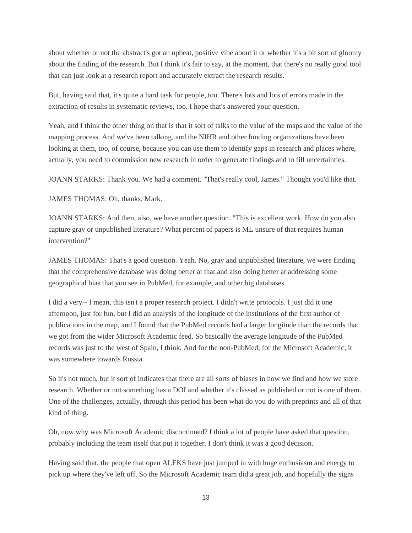about whether or not the abstract's got an upbeat, positive vibe about it or whether it's a bit sort of gloomy about the finding of the research. But I think it's fair to say, at the moment, that there's no really good tool that can just look at a research report and accurately extract the research results.

But, having said that, it's quite a hard task for people, too. There's lots and lots of errors made in the extraction of results in systematic reviews, too. I hope that's answered your question.

Yeah, and I think the other thing on that is that it sort of talks to the value of the maps and the value of the mapping process. And we've been talking, and the NIHR and other funding organizations have been looking at them, too, of course, because you can use them to identify gaps in research and places where, actually, you need to commission new research in order to generate findings and to fill uncertainties.

JOANN STARKS: Thank you. We had a comment. "That's really cool, James." Thought you'd like that.

JAMES THOMAS: Oh, thanks, Mark.

JOANN STARKS: And then, also, we have another question. "This is excellent work. How do you also capture gray or unpublished literature? What percent of papers is ML unsure of that requires human intervention?"

JAMES THOMAS: That's a good question. Yeah. No, gray and unpublished literature, we were finding that the comprehensive database was doing better at that and also doing better at addressing some geographical bias that you see in PubMed, for example, and other big databases.

I did a very-- I mean, this isn't a proper research project. I didn't write protocols. I just did it one afternoon, just for fun, but I did an analysis of the longitude of the institutions of the first author of publications in the map, and I found that the PubMed records had a larger longitude than the records that we got from the wider Microsoft Academic feed. So basically the average longitude of the PubMed records was just to the west of Spain, I think. And for the non-PubMed, for the Microsoft Academic, it was somewhere towards Russia.

So it's not much, but it sort of indicates that there are all sorts of biases in how we find and how we store research. Whether or not something has a DOI and whether it's classed as published or not is one of them. One of the challenges, actually, through this period has been what do you do with preprints and all of that kind of thing.

Oh, now why was Microsoft Academic discontinued? I think a lot of people have asked that question, probably including the team itself that put it together. I don't think it was a good decision.

Having said that, the people that open ALEKS have just jumped in with huge enthusiasm and energy to pick up where they've left off. So the Microsoft Academic team did a great job, and hopefully the signs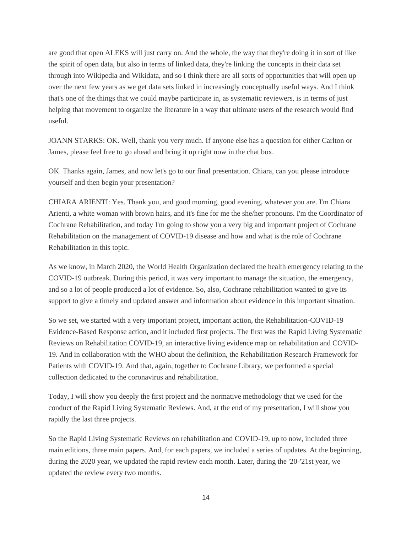are good that open ALEKS will just carry on. And the whole, the way that they're doing it in sort of like the spirit of open data, but also in terms of linked data, they're linking the concepts in their data set through into Wikipedia and Wikidata, and so I think there are all sorts of opportunities that will open up over the next few years as we get data sets linked in increasingly conceptually useful ways. And I think that's one of the things that we could maybe participate in, as systematic reviewers, is in terms of just helping that movement to organize the literature in a way that ultimate users of the research would find useful.

JOANN STARKS: OK. Well, thank you very much. If anyone else has a question for either Carlton or James, please feel free to go ahead and bring it up right now in the chat box.

OK. Thanks again, James, and now let's go to our final presentation. Chiara, can you please introduce yourself and then begin your presentation?

CHIARA ARIENTI: Yes. Thank you, and good morning, good evening, whatever you are. I'm Chiara Arienti, a white woman with brown hairs, and it's fine for me the she/her pronouns. I'm the Coordinator of Cochrane Rehabilitation, and today I'm going to show you a very big and important project of Cochrane Rehabilitation on the management of COVID-19 disease and how and what is the role of Cochrane Rehabilitation in this topic.

As we know, in March 2020, the World Health Organization declared the health emergency relating to the COVID-19 outbreak. During this period, it was very important to manage the situation, the emergency, and so a lot of people produced a lot of evidence. So, also, Cochrane rehabilitation wanted to give its support to give a timely and updated answer and information about evidence in this important situation.

So we set, we started with a very important project, important action, the Rehabilitation-COVID-19 Evidence-Based Response action, and it included first projects. The first was the Rapid Living Systematic Reviews on Rehabilitation COVID-19, an interactive living evidence map on rehabilitation and COVID-19. And in collaboration with the WHO about the definition, the Rehabilitation Research Framework for Patients with COVID-19. And that, again, together to Cochrane Library, we performed a special collection dedicated to the coronavirus and rehabilitation.

Today, I will show you deeply the first project and the normative methodology that we used for the conduct of the Rapid Living Systematic Reviews. And, at the end of my presentation, I will show you rapidly the last three projects.

So the Rapid Living Systematic Reviews on rehabilitation and COVID-19, up to now, included three main editions, three main papers. And, for each papers, we included a series of updates. At the beginning, during the 2020 year, we updated the rapid review each month. Later, during the '20-'21st year, we updated the review every two months.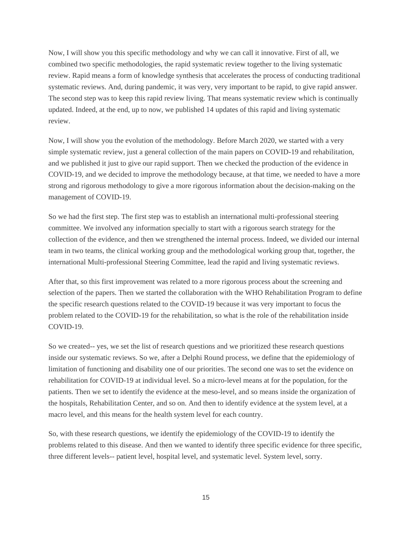Now, I will show you this specific methodology and why we can call it innovative. First of all, we combined two specific methodologies, the rapid systematic review together to the living systematic review. Rapid means a form of knowledge synthesis that accelerates the process of conducting traditional systematic reviews. And, during pandemic, it was very, very important to be rapid, to give rapid answer. The second step was to keep this rapid review living. That means systematic review which is continually updated. Indeed, at the end, up to now, we published 14 updates of this rapid and living systematic review.

Now, I will show you the evolution of the methodology. Before March 2020, we started with a very simple systematic review, just a general collection of the main papers on COVID-19 and rehabilitation, and we published it just to give our rapid support. Then we checked the production of the evidence in COVID-19, and we decided to improve the methodology because, at that time, we needed to have a more strong and rigorous methodology to give a more rigorous information about the decision-making on the management of COVID-19.

So we had the first step. The first step was to establish an international multi-professional steering committee. We involved any information specially to start with a rigorous search strategy for the collection of the evidence, and then we strengthened the internal process. Indeed, we divided our internal team in two teams, the clinical working group and the methodological working group that, together, the international Multi-professional Steering Committee, lead the rapid and living systematic reviews.

After that, so this first improvement was related to a more rigorous process about the screening and selection of the papers. Then we started the collaboration with the WHO Rehabilitation Program to define the specific research questions related to the COVID-19 because it was very important to focus the problem related to the COVID-19 for the rehabilitation, so what is the role of the rehabilitation inside COVID-19.

So we created-- yes, we set the list of research questions and we prioritized these research questions inside our systematic reviews. So we, after a Delphi Round process, we define that the epidemiology of limitation of functioning and disability one of our priorities. The second one was to set the evidence on rehabilitation for COVID-19 at individual level. So a micro-level means at for the population, for the patients. Then we set to identify the evidence at the meso-level, and so means inside the organization of the hospitals, Rehabilitation Center, and so on. And then to identify evidence at the system level, at a macro level, and this means for the health system level for each country.

So, with these research questions, we identify the epidemiology of the COVID-19 to identify the problems related to this disease. And then we wanted to identify three specific evidence for three specific, three different levels-- patient level, hospital level, and systematic level. System level, sorry.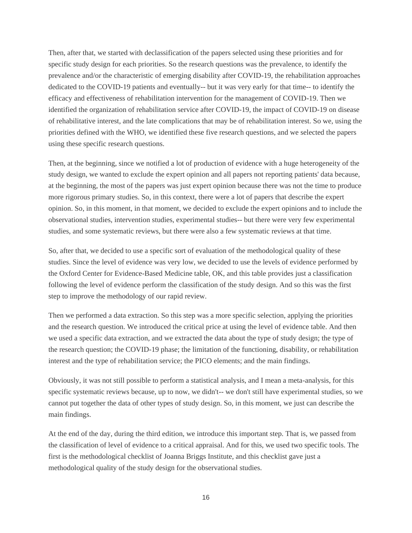Then, after that, we started with declassification of the papers selected using these priorities and for specific study design for each priorities. So the research questions was the prevalence, to identify the prevalence and/or the characteristic of emerging disability after COVID-19, the rehabilitation approaches dedicated to the COVID-19 patients and eventually-- but it was very early for that time-- to identify the efficacy and effectiveness of rehabilitation intervention for the management of COVID-19. Then we identified the organization of rehabilitation service after COVID-19, the impact of COVID-19 on disease of rehabilitative interest, and the late complications that may be of rehabilitation interest. So we, using the priorities defined with the WHO, we identified these five research questions, and we selected the papers using these specific research questions.

Then, at the beginning, since we notified a lot of production of evidence with a huge heterogeneity of the study design, we wanted to exclude the expert opinion and all papers not reporting patients' data because, at the beginning, the most of the papers was just expert opinion because there was not the time to produce more rigorous primary studies. So, in this context, there were a lot of papers that describe the expert opinion. So, in this moment, in that moment, we decided to exclude the expert opinions and to include the observational studies, intervention studies, experimental studies-- but there were very few experimental studies, and some systematic reviews, but there were also a few systematic reviews at that time.

So, after that, we decided to use a specific sort of evaluation of the methodological quality of these studies. Since the level of evidence was very low, we decided to use the levels of evidence performed by the Oxford Center for Evidence-Based Medicine table, OK, and this table provides just a classification following the level of evidence perform the classification of the study design. And so this was the first step to improve the methodology of our rapid review.

Then we performed a data extraction. So this step was a more specific selection, applying the priorities and the research question. We introduced the critical price at using the level of evidence table. And then we used a specific data extraction, and we extracted the data about the type of study design; the type of the research question; the COVID-19 phase; the limitation of the functioning, disability, or rehabilitation interest and the type of rehabilitation service; the PICO elements; and the main findings.

Obviously, it was not still possible to perform a statistical analysis, and I mean a meta-analysis, for this specific systematic reviews because, up to now, we didn't-- we don't still have experimental studies, so we cannot put together the data of other types of study design. So, in this moment, we just can describe the main findings.

At the end of the day, during the third edition, we introduce this important step. That is, we passed from the classification of level of evidence to a critical appraisal. And for this, we used two specific tools. The first is the methodological checklist of Joanna Briggs Institute, and this checklist gave just a methodological quality of the study design for the observational studies.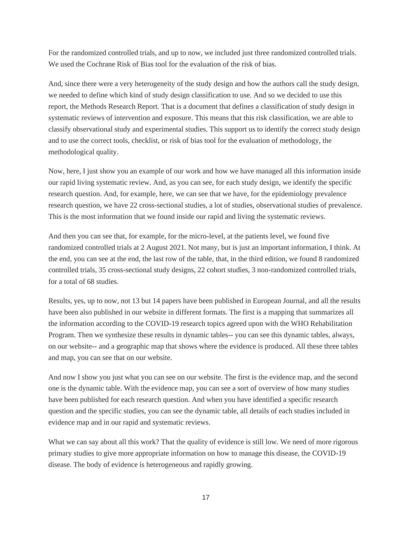For the randomized controlled trials, and up to now, we included just three randomized controlled trials. We used the Cochrane Risk of Bias tool for the evaluation of the risk of bias.

And, since there were a very heterogeneity of the study design and how the authors call the study design, we needed to define which kind of study design classification to use. And so we decided to use this report, the Methods Research Report. That is a document that defines a classification of study design in systematic reviews of intervention and exposure. This means that this risk classification, we are able to classify observational study and experimental studies. This support us to identify the correct study design and to use the correct tools, checklist, or risk of bias tool for the evaluation of methodology, the methodological quality.

Now, here, I just show you an example of our work and how we have managed all this information inside our rapid living systematic review. And, as you can see, for each study design, we identify the specific research question. And, for example, here, we can see that we have, for the epidemiology prevalence research question, we have 22 cross-sectional studies, a lot of studies, observational studies of prevalence. This is the most information that we found inside our rapid and living the systematic reviews.

And then you can see that, for example, for the micro-level, at the patients level, we found five randomized controlled trials at 2 August 2021. Not many, but is just an important information, I think. At the end, you can see at the end, the last row of the table, that, in the third edition, we found 8 randomized controlled trials, 35 cross-sectional study designs, 22 cohort studies, 3 non-randomized controlled trials, for a total of 68 studies.

Results, yes, up to now, not 13 but 14 papers have been published in European Journal, and all the results have been also published in our website in different formats. The first is a mapping that summarizes all the information according to the COVID-19 research topics agreed upon with the WHO Rehabilitation Program. Then we synthesize these results in dynamic tables-- you can see this dynamic tables, always, on our website-- and a geographic map that shows where the evidence is produced. All these three tables and map, you can see that on our website.

And now I show you just what you can see on our website. The first is the evidence map, and the second one is the dynamic table. With the evidence map, you can see a sort of overview of how many studies have been published for each research question. And when you have identified a specific research question and the specific studies, you can see the dynamic table, all details of each studies included in evidence map and in our rapid and systematic reviews.

What we can say about all this work? That the quality of evidence is still low. We need of more rigorous primary studies to give more appropriate information on how to manage this disease, the COVID-19 disease. The body of evidence is heterogeneous and rapidly growing.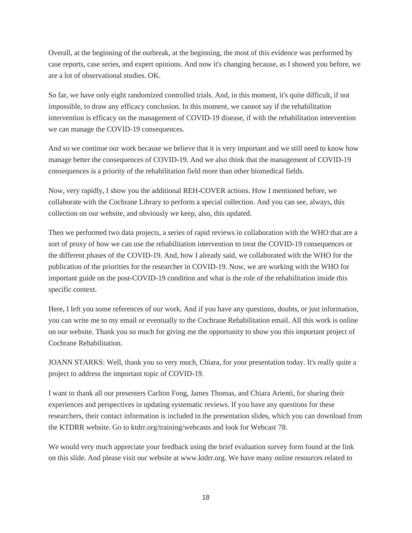Overall, at the beginning of the outbreak, at the beginning, the most of this evidence was performed by case reports, case series, and expert opinions. And now it's changing because, as I showed you before, we are a lot of observational studies. OK.

So far, we have only eight randomized controlled trials. And, in this moment, it's quite difficult, if not impossible, to draw any efficacy conclusion. In this moment, we cannot say if the rehabilitation intervention is efficacy on the management of COVID-19 disease, if with the rehabilitation intervention we can manage the COVID-19 consequences.

And so we continue our work because we believe that it is very important and we still need to know how manage better the consequences of COVID-19. And we also think that the management of COVID-19 consequences is a priority of the rehabilitation field more than other biomedical fields.

Now, very rapidly, I show you the additional REH-COVER actions. How I mentioned before, we collaborate with the Cochrane Library to perform a special collection. And you can see, always, this collection on our website, and obviously we keep, also, this updated.

Then we performed two data projects, a series of rapid reviews in collaboration with the WHO that are a sort of proxy of how we can use the rehabilitation intervention to treat the COVID-19 consequences or the different phases of the COVID-19. And, how I already said, we collaborated with the WHO for the publication of the priorities for the researcher in COVID-19. Now, we are working with the WHO for important guide on the post-COVID-19 condition and what is the role of the rehabilitation inside this specific context.

Here, I left you some references of our work. And if you have any questions, doubts, or just information, you can write me to my email or eventually to the Cochrane Rehabilitation email. All this work is online on our website. Thank you so much for giving me the opportunity to show you this important project of Cochrane Rehabilitation.

JOANN STARKS: Well, thank you so very much, Chiara, for your presentation today. It's really quite a project to address the important topic of COVID-19.

I want to thank all our presenters Carlton Fong, James Thomas, and Chiara Arienti, for sharing their experiences and perspectives in updating systematic reviews. If you have any questions for these researchers, their contact information is included in the presentation slides, which you can download from the KTDRR website. Go to ktdrr.org/training/webcasts and look for Webcast 78.

We would very much appreciate your feedback using the brief evaluation survey form found at the link on this slide. And please visit our website at www.ktdrr.org. We have many online resources related to